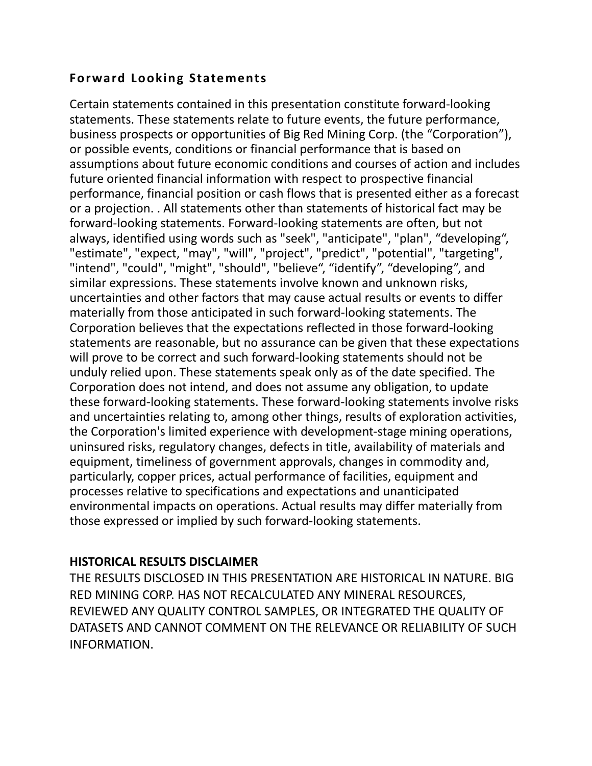## **Forward Looking Statements**

Certain statements contained in this presentation constitute forward-looking statements. These statements relate to future events, the future performance, business prospects or opportunities of Big Red Mining Corp. (the "Corporation"), or possible events, conditions or financial performance that is based on assumptions about future economic conditions and courses of action and includes future oriented financial information with respect to prospective financial performance, financial position or cash flows that is presented either as a forecast or a projection. . All statements other than statements of historical fact may be forward-looking statements. Forward-looking statements are often, but not always, identified using words such as "seek", "anticipate", "plan", "developing", "estimate", "expect, "may", "will", "project", "predict", "potential", "targeting", "intend", "could", "might", "should", "believe", "identify", "developing", and similar expressions. These statements involve known and unknown risks, uncertainties and other factors that may cause actual results or events to differ materially from those anticipated in such forward-looking statements. The Corporation believes that the expectations reflected in those forward-looking statements are reasonable, but no assurance can be given that these expectations will prove to be correct and such forward-looking statements should not be unduly relied upon. These statements speak only as of the date specified. The Corporation does not intend, and does not assume any obligation, to update these forward-looking statements. These forward-looking statements involve risks and uncertainties relating to, among other things, results of exploration activities, the Corporation's limited experience with development-stage mining operations, uninsured risks, regulatory changes, defects in title, availability of materials and equipment, timeliness of government approvals, changes in commodity and, particularly, copper prices, actual performance of facilities, equipment and processes relative to specifications and expectations and unanticipated environmental impacts on operations. Actual results may differ materially from those expressed or implied by such forward-looking statements.

## **HISTORICAL RESULTS DISCLAIMER**

THE RESULTS DISCLOSED IN THIS PRESENTATION ARE HISTORICAL IN NATURE. BIG RED MINING CORP. HAS NOT RECALCULATED ANY MINERAL RESOURCES, REVIEWED ANY QUALITY CONTROL SAMPLES, OR INTEGRATED THE QUALITY OF DATASETS AND CANNOT COMMENT ON THE RELEVANCE OR RELIABILITY OF SUCH INFORMATION.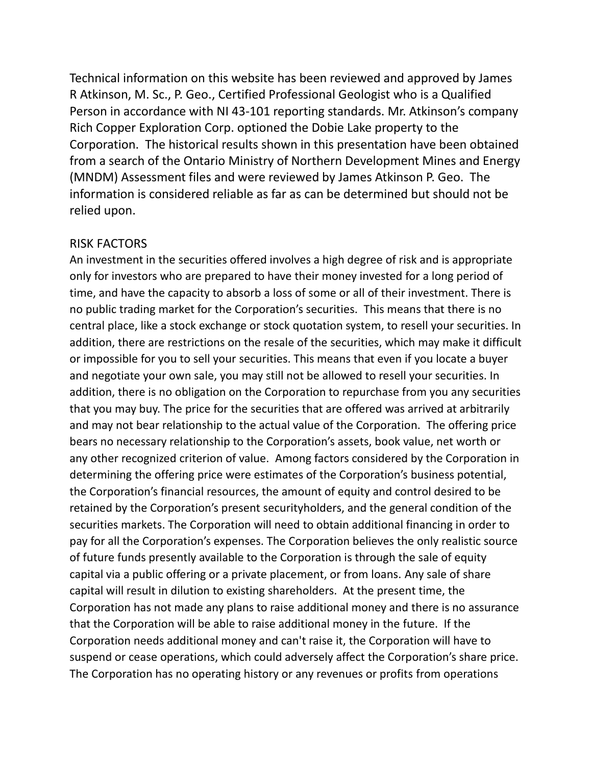Technical information on this website has been reviewed and approved by James R Atkinson, M. Sc., P. Geo., Certified Professional Geologist who is a Qualified Person in accordance with NI 43-101 reporting standards. Mr. Atkinson's company Rich Copper Exploration Corp. optioned the Dobie Lake property to the Corporation. The historical results shown in this presentation have been obtained from a search of the Ontario Ministry of Northern Development Mines and Energy (MNDM) Assessment files and were reviewed by James Atkinson P. Geo. The information is considered reliable as far as can be determined but should not be relied upon.

## RISK FACTORS

An investment in the securities offered involves a high degree of risk and is appropriate only for investors who are prepared to have their money invested for a long period of time, and have the capacity to absorb a loss of some or all of their investment. There is no public trading market for the Corporation's securities. This means that there is no central place, like a stock exchange or stock quotation system, to resell your securities. In addition, there are restrictions on the resale of the securities, which may make it difficult or impossible for you to sell your securities. This means that even if you locate a buyer and negotiate your own sale, you may still not be allowed to resell your securities. In addition, there is no obligation on the Corporation to repurchase from you any securities that you may buy. The price for the securities that are offered was arrived at arbitrarily and may not bear relationship to the actual value of the Corporation. The offering price bears no necessary relationship to the Corporation's assets, book value, net worth or any other recognized criterion of value. Among factors considered by the Corporation in determining the offering price were estimates of the Corporation's business potential, the Corporation's financial resources, the amount of equity and control desired to be retained by the Corporation's present securityholders, and the general condition of the securities markets. The Corporation will need to obtain additional financing in order to pay for all the Corporation's expenses. The Corporation believes the only realistic source of future funds presently available to the Corporation is through the sale of equity capital via a public offering or a private placement, or from loans. Any sale of share capital will result in dilution to existing shareholders. At the present time, the Corporation has not made any plans to raise additional money and there is no assurance that the Corporation will be able to raise additional money in the future. If the Corporation needs additional money and can't raise it, the Corporation will have to suspend or cease operations, which could adversely affect the Corporation's share price. The Corporation has no operating history or any revenues or profits from operations